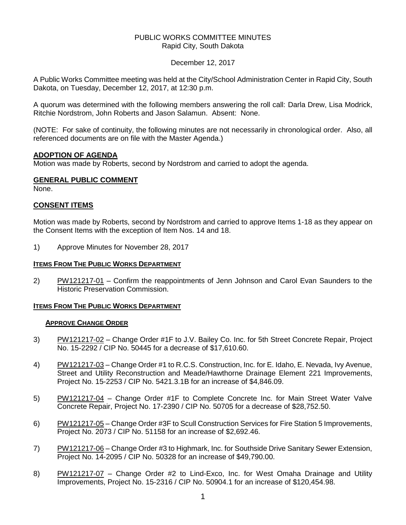# PUBLIC WORKS COMMITTEE MINUTES Rapid City, South Dakota

December 12, 2017

A Public Works Committee meeting was held at the City/School Administration Center in Rapid City, South Dakota, on Tuesday, December 12, 2017, at 12:30 p.m.

A quorum was determined with the following members answering the roll call: Darla Drew, Lisa Modrick, Ritchie Nordstrom, John Roberts and Jason Salamun. Absent: None.

(NOTE: For sake of continuity, the following minutes are not necessarily in chronological order. Also, all referenced documents are on file with the Master Agenda.)

# **ADOPTION OF AGENDA**

Motion was made by Roberts, second by Nordstrom and carried to adopt the agenda.

# **GENERAL PUBLIC COMMENT**

None.

# **CONSENT ITEMS**

Motion was made by Roberts, second by Nordstrom and carried to approve Items 1-18 as they appear on the Consent Items with the exception of Item Nos. 14 and 18.

1) Approve Minutes for November 28, 2017

### **ITEMS FROM THE PUBLIC WORKS DEPARTMENT**

2) PW121217-01 – Confirm the reappointments of Jenn Johnson and Carol Evan Saunders to the Historic Preservation Commission.

# **ITEMS FROM THE PUBLIC WORKS DEPARTMENT**

### **APPROVE CHANGE ORDER**

- 3) PW121217-02 Change Order #1F to J.V. Bailey Co. Inc. for 5th Street Concrete Repair, Project No. 15-2292 / CIP No. 50445 for a decrease of \$17,610.60.
- 4) PW121217-03 Change Order #1 to R.C.S. Construction, Inc. for E. Idaho, E. Nevada, Ivy Avenue, Street and Utility Reconstruction and Meade/Hawthorne Drainage Element 221 Improvements, Project No. 15-2253 / CIP No. 5421.3.1B for an increase of \$4,846.09.
- 5) PW121217-04 Change Order #1F to Complete Concrete Inc. for Main Street Water Valve Concrete Repair, Project No. 17-2390 / CIP No. 50705 for a decrease of \$28,752.50.
- 6) PW121217-05 Change Order #3F to Scull Construction Services for Fire Station 5 Improvements, Project No. 2073 / CIP No. 51158 for an increase of \$2,692.46.
- 7) PW121217-06 Change Order #3 to Highmark, Inc. for Southside Drive Sanitary Sewer Extension, Project No. 14-2095 / CIP No. 50328 for an increase of \$49,790.00.
- 8) PW121217-07 Change Order #2 to Lind-Exco, Inc. for West Omaha Drainage and Utility Improvements, Project No. 15-2316 / CIP No. 50904.1 for an increase of \$120,454.98.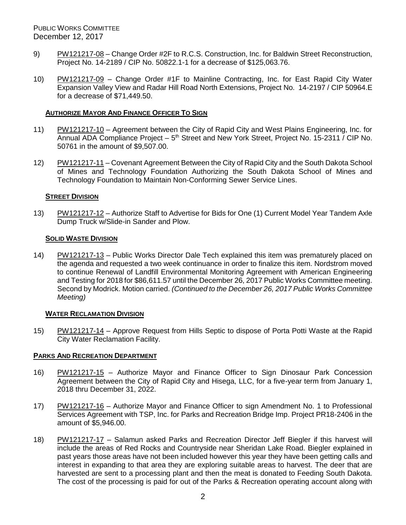PUBLIC WORKS COMMITTEE December 12, 2017

- 9) PW121217-08 Change Order #2F to R.C.S. Construction, Inc. for Baldwin Street Reconstruction, Project No. 14-2189 / CIP No. 50822.1-1 for a decrease of \$125,063.76.
- 10) PW121217-09 Change Order #1F to Mainline Contracting, Inc. for East Rapid City Water Expansion Valley View and Radar Hill Road North Extensions, Project No. 14-2197 / CIP 50964.E for a decrease of \$71,449.50.

## **AUTHORIZE MAYOR AND FINANCE OFFICER TO SIGN**

- 11) PW121217-10 Agreement between the City of Rapid City and West Plains Engineering, Inc. for Annual ADA Compliance Project – 5<sup>th</sup> Street and New York Street, Project No. 15-2311 / CIP No. 50761 in the amount of \$9,507.00.
- 12) PW121217-11 Covenant Agreement Between the City of Rapid City and the South Dakota School of Mines and Technology Foundation Authorizing the South Dakota School of Mines and Technology Foundation to Maintain Non-Conforming Sewer Service Lines.

# **STREET DIVISION**

13) PW121217-12 – Authorize Staff to Advertise for Bids for One (1) Current Model Year Tandem Axle Dump Truck w/Slide-in Sander and Plow.

# **SOLID WASTE DIVISION**

14) PW121217-13 – Public Works Director Dale Tech explained this item was prematurely placed on the agenda and requested a two week continuance in order to finalize this item. Nordstrom moved to continue Renewal of Landfill Environmental Monitoring Agreement with American Engineering and Testing for 2018 for \$86,611.57 until the December 26, 2017 Public Works Committee meeting. Second by Modrick. Motion carried. *(Continued to the December 26, 2017 Public Works Committee Meeting)*

### **WATER RECLAMATION DIVISION**

15) PW121217-14 – Approve Request from Hills Septic to dispose of Porta Potti Waste at the Rapid City Water Reclamation Facility.

### **PARKS AND RECREATION DEPARTMENT**

- 16) PW121217-15 Authorize Mayor and Finance Officer to Sign Dinosaur Park Concession Agreement between the City of Rapid City and Hisega, LLC, for a five-year term from January 1, 2018 thru December 31, 2022.
- 17) PW121217-16 Authorize Mayor and Finance Officer to sign Amendment No. 1 to Professional Services Agreement with TSP, Inc. for Parks and Recreation Bridge Imp. Project PR18-2406 in the amount of \$5,946.00.
- 18) PW121217-17 Salamun asked Parks and Recreation Director Jeff Biegler if this harvest will include the areas of Red Rocks and Countryside near Sheridan Lake Road. Biegler explained in past years those areas have not been included however this year they have been getting calls and interest in expanding to that area they are exploring suitable areas to harvest. The deer that are harvested are sent to a processing plant and then the meat is donated to Feeding South Dakota. The cost of the processing is paid for out of the Parks & Recreation operating account along with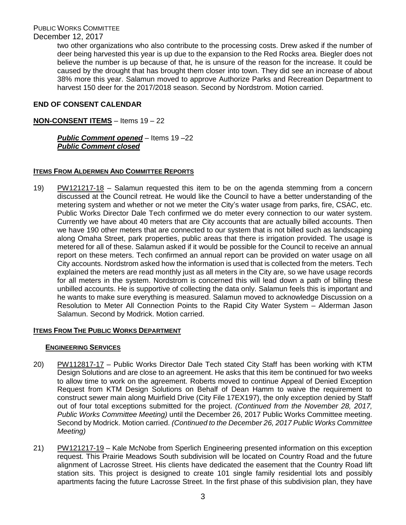PUBLIC WORKS COMMITTEE

# December 12, 2017

two other organizations who also contribute to the processing costs. Drew asked if the number of deer being harvested this year is up due to the expansion to the Red Rocks area. Biegler does not believe the number is up because of that, he is unsure of the reason for the increase. It could be caused by the drought that has brought them closer into town. They did see an increase of about 38% more this year. Salamun moved to approve Authorize Parks and Recreation Department to harvest 150 deer for the 2017/2018 season. Second by Nordstrom. Motion carried.

# **END OF CONSENT CALENDAR**

# **NON-CONSENT ITEMS** – Items 19 – 22

# *Public Comment opened* – Items 19 –22 *Public Comment closed*

# **ITEMS FROM ALDERMEN AND COMMITTEE REPORTS**

19) PW121217-18 – Salamun requested this item to be on the agenda stemming from a concern discussed at the Council retreat. He would like the Council to have a better understanding of the metering system and whether or not we meter the City's water usage from parks, fire, CSAC, etc. Public Works Director Dale Tech confirmed we do meter every connection to our water system. Currently we have about 40 meters that are City accounts that are actually billed accounts. Then we have 190 other meters that are connected to our system that is not billed such as landscaping along Omaha Street, park properties, public areas that there is irrigation provided. The usage is metered for all of these. Salamun asked if it would be possible for the Council to receive an annual report on these meters. Tech confirmed an annual report can be provided on water usage on all City accounts. Nordstrom asked how the information is used that is collected from the meters. Tech explained the meters are read monthly just as all meters in the City are, so we have usage records for all meters in the system. Nordstrom is concerned this will lead down a path of billing these unbilled accounts. He is supportive of collecting the data only. Salamun feels this is important and he wants to make sure everything is measured. Salamun moved to acknowledge Discussion on a Resolution to Meter All Connection Points to the Rapid City Water System – Alderman Jason Salamun. Second by Modrick. Motion carried.

### **ITEMS FROM THE PUBLIC WORKS DEPARTMENT**

### **ENGINEERING SERVICES**

- 20) PW112817-17 Public Works Director Dale Tech stated City Staff has been working with KTM Design Solutions and are close to an agreement. He asks that this item be continued for two weeks to allow time to work on the agreement. Roberts moved to continue Appeal of Denied Exception Request from KTM Design Solutions on Behalf of Dean Hamm to waive the requirement to construct sewer main along Muirfield Drive (City File 17EX197), the only exception denied by Staff out of four total exceptions submitted for the project. *(Continued from the November 28, 2017, Public Works Committee Meeting)* until the December 26, 2017 Public Works Committee meeting. Second by Modrick. Motion carried. *(Continued to the December 26, 2017 Public Works Committee Meeting)*
- 21) PW121217-19 Kale McNobe from Sperlich Engineering presented information on this exception request. This Prairie Meadows South subdivision will be located on Country Road and the future alignment of Lacrosse Street. His clients have dedicated the easement that the Country Road lift station sits. This project is designed to create 101 single family residential lots and possibly apartments facing the future Lacrosse Street. In the first phase of this subdivision plan, they have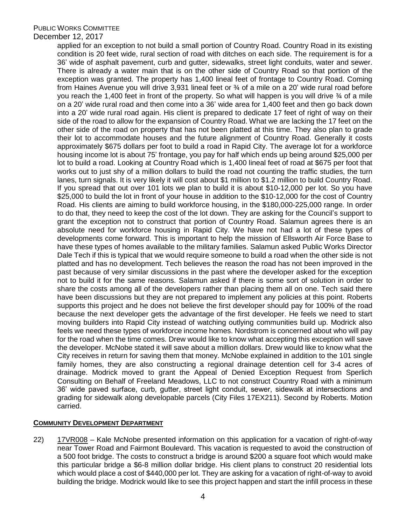## PUBLIC WORKS COMMITTEE

## December 12, 2017

applied for an exception to not build a small portion of Country Road. Country Road in its existing condition is 20 feet wide, rural section of road with ditches on each side. The requirement is for a 36' wide of asphalt pavement, curb and gutter, sidewalks, street light conduits, water and sewer. There is already a water main that is on the other side of Country Road so that portion of the exception was granted. The property has 1,400 lineal feet of frontage to Country Road. Coming from Haines Avenue you will drive 3,931 lineal feet or ¾ of a mile on a 20' wide rural road before you reach the 1,400 feet in front of the property. So what will happen is you will drive  $\frac{3}{4}$  of a mile on a 20' wide rural road and then come into a 36' wide area for 1,400 feet and then go back down into a 20' wide rural road again. His client is prepared to dedicate 17 feet of right of way on their side of the road to allow for the expansion of Country Road. What we are lacking the 17 feet on the other side of the road on property that has not been platted at this time. They also plan to grade their lot to accommodate houses and the future alignment of Country Road. Generally it costs approximately \$675 dollars per foot to build a road in Rapid City. The average lot for a workforce housing income lot is about 75' frontage, you pay for half which ends up being around \$25,000 per lot to build a road. Looking at Country Road which is 1,400 lineal feet of road at \$675 per foot that works out to just shy of a million dollars to build the road not counting the traffic studies, the turn lanes, turn signals. It is very likely it will cost about \$1 million to \$1.2 million to build Country Road. If you spread that out over 101 lots we plan to build it is about \$10-12,000 per lot. So you have \$25,000 to build the lot in front of your house in addition to the \$10-12,000 for the cost of Country Road. His clients are aiming to build workforce housing, in the \$180,000-225,000 range. In order to do that, they need to keep the cost of the lot down. They are asking for the Council's support to grant the exception not to construct that portion of Country Road. Salamun agrees there is an absolute need for workforce housing in Rapid City. We have not had a lot of these types of developments come forward. This is important to help the mission of Ellsworth Air Force Base to have these types of homes available to the military families. Salamun asked Public Works Director Dale Tech if this is typical that we would require someone to build a road when the other side is not platted and has no development. Tech believes the reason the road has not been improved in the past because of very similar discussions in the past where the developer asked for the exception not to build it for the same reasons. Salamun asked if there is some sort of solution in order to share the costs among all of the developers rather than placing them all on one. Tech said there have been discussions but they are not prepared to implement any policies at this point. Roberts supports this project and he does not believe the first developer should pay for 100% of the road because the next developer gets the advantage of the first developer. He feels we need to start moving builders into Rapid City instead of watching outlying communities build up. Modrick also feels we need these types of workforce income homes. Nordstrom is concerned about who will pay for the road when the time comes. Drew would like to know what accepting this exception will save the developer. McNobe stated it will save about a million dollars. Drew would like to know what the City receives in return for saving them that money. McNobe explained in addition to the 101 single family homes, they are also constructing a regional drainage detention cell for 3-4 acres of drainage. Modrick moved to grant the Appeal of Denied Exception Request from Sperlich Consulting on Behalf of Freeland Meadows, LLC to not construct Country Road with a minimum 36' wide paved surface, curb, gutter, street light conduit, sewer, sidewalk at intersections and grading for sidewalk along developable parcels (City Files 17EX211). Second by Roberts. Motion carried.

### **COMMUNITY DEVELOPMENT DEPARTMENT**

22) 17VR008 – Kale McNobe presented information on this application for a vacation of right-of-way near Tower Road and Fairmont Boulevard. This vacation is requested to avoid the construction of a 500 foot bridge. The costs to construct a bridge is around \$200 a square foot which would make this particular bridge a \$6-8 million dollar bridge. His client plans to construct 20 residential lots which would place a cost of \$440,000 per lot. They are asking for a vacation of right-of-way to avoid building the bridge. Modrick would like to see this project happen and start the infill process in these